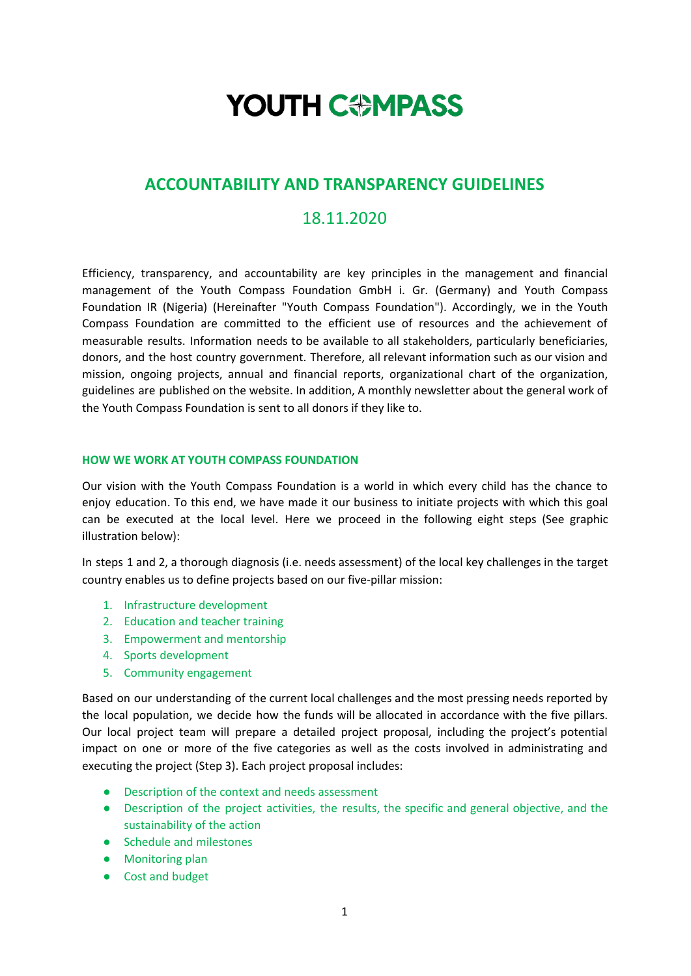# **YOUTH COMPASS**

## **ACCOUNTABILITY AND TRANSPARENCY GUIDELINES**

## 18.11.2020

Efficiency, transparency, and accountability are key principles in the management and financial management of the Youth Compass Foundation GmbH i. Gr. (Germany) and Youth Compass Foundation IR (Nigeria) (Hereinafter "Youth Compass Foundation"). Accordingly, we in the Youth Compass Foundation are committed to the efficient use of resources and the achievement of measurable results. Information needs to be available to all stakeholders, particularly beneficiaries, donors, and the host country government. Therefore, all relevant information such as our vision and mission, ongoing projects, annual and financial reports, organizational chart of the organization, guidelines are published on the website. In addition, A monthly newsletter about the general work of the Youth Compass Foundation is sent to all donors if they like to.

#### **HOW WE WORK AT YOUTH COMPASS FOUNDATION**

Our vision with the Youth Compass Foundation is a world in which every child has the chance to enjoy education. To this end, we have made it our business to initiate projects with which this goal can be executed at the local level. Here we proceed in the following eight steps (See graphic illustration below):

In steps 1 and 2, a thorough diagnosis (i.e. needs assessment) of the local key challenges in the target country enables us to define projects based on our five-pillar mission:

- 1. Infrastructure development
- 2. Education and teacher training
- 3. Empowerment and mentorship
- 4. Sports development
- 5. Community engagement

Based on our understanding of the current local challenges and the most pressing needs reported by the local population, we decide how the funds will be allocated in accordance with the five pillars. Our local project team will prepare a detailed project proposal, including the project's potential impact on one or more of the five categories as well as the costs involved in administrating and executing the project (Step 3). Each project proposal includes:

- Description of the context and needs assessment
- Description of the project activities, the results, the specific and general objective, and the sustainability of the action
- Schedule and milestones
- Monitoring plan
- Cost and budget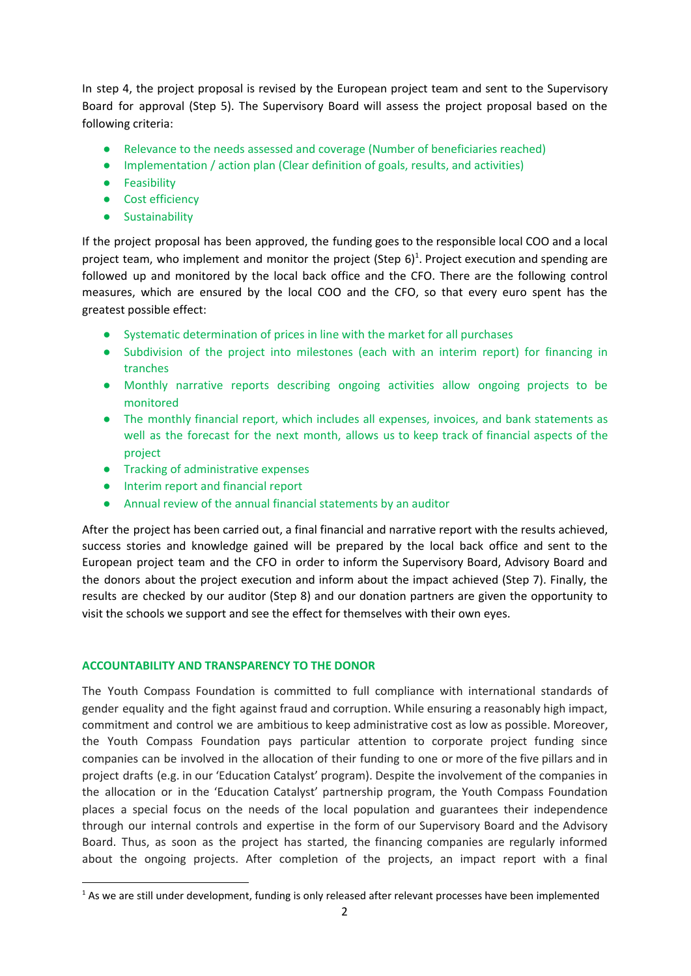In step 4, the project proposal is revised by the European project team and sent to the Supervisory Board for approval (Step 5). The Supervisory Board will assess the project proposal based on the following criteria:

- Relevance to the needs assessed and coverage (Number of beneficiaries reached)
- Implementation / action plan (Clear definition of goals, results, and activities)
- Feasibility
- Cost efficiency
- Sustainability

If the project proposal has been approved, the funding goes to the responsible local COO and a local project team, who implement and monitor the project (Step  $6$ )<sup>1</sup>. Project execution and spending are followed up and monitored by the local back office and the CFO. There are the following control measures, which are ensured by the local COO and the CFO, so that every euro spent has the greatest possible effect:

- Systematic determination of prices in line with the market for all purchases
- Subdivision of the project into milestones (each with an interim report) for financing in tranches
- Monthly narrative reports describing ongoing activities allow ongoing projects to be monitored
- The monthly financial report, which includes all expenses, invoices, and bank statements as well as the forecast for the next month, allows us to keep track of financial aspects of the project
- **•** Tracking of administrative expenses
- Interim report and financial report
- Annual review of the annual financial statements by an auditor

After the project has been carried out, a final financial and narrative report with the results achieved, success stories and knowledge gained will be prepared by the local back office and sent to the European project team and the CFO in order to inform the Supervisory Board, Advisory Board and the donors about the project execution and inform about the impact achieved (Step 7). Finally, the results are checked by our auditor (Step 8) and our donation partners are given the opportunity to visit the schools we support and see the effect for themselves with their own eyes.

#### **ACCOUNTABILITY AND TRANSPARENCY TO THE DONOR**

The Youth Compass Foundation is committed to full compliance with international standards of gender equality and the fight against fraud and corruption. While ensuring a reasonably high impact, commitment and control we are ambitious to keep administrative cost as low as possible. Moreover, the Youth Compass Foundation pays particular attention to corporate project funding since companies can be involved in the allocation of their funding to one or more of the five pillars and in project drafts (e.g. in our 'Education Catalyst' program). Despite the involvement of the companies in the allocation or in the 'Education Catalyst' partnership program, the Youth Compass Foundation places a special focus on the needs of the local population and guarantees their independence through our internal controls and expertise in the form of our Supervisory Board and the Advisory Board. Thus, as soon as the project has started, the financing companies are regularly informed about the ongoing projects. After completion of the projects, an impact report with a final

<sup>&</sup>lt;sup>1</sup> As we are still under development, funding is only released after relevant processes have been implemented